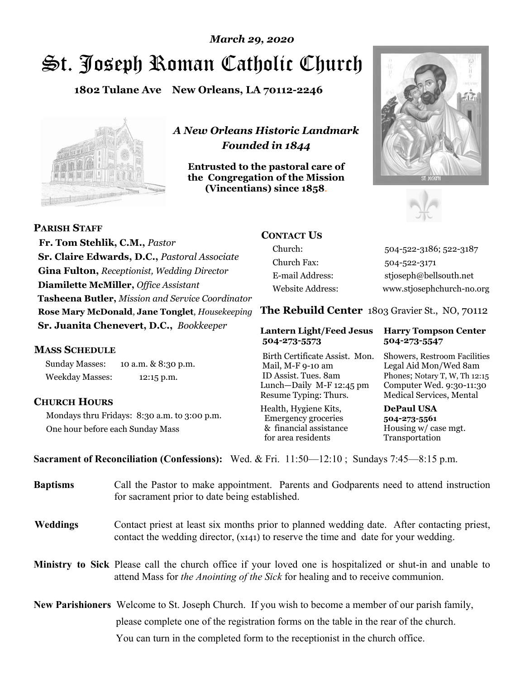# St. Joseph Roman Catholic Church *March 29, 2020*

**1802 Tulane Ave New Orleans, LA 70112-2246**



*A New Orleans Historic Landmark Founded in 1844* 

**Entrusted to the pastoral care of the Congregation of the Mission (Vincentians) since 1858**.





 **Fr. Tom Stehlik, C.M.,** *Pastor* **Sr. Claire Edwards, D.C.,** *Pastoral Associate* **Gina Fulton,** *Receptionist, Wedding Director* **Diamilette McMiller,** *Office Assistant* **Tasheena Butler,** *Mission and Service Coordinator* **Rose Mary McDonald**, **Jane Tonglet**, *Housekeeping* **Sr. Juanita Chenevert, D.C.,** *Bookkeeper* 

#### **MASS SCHEDULE**

**PARISH STAFF**

Sunday Masses: 10 a.m. & 8:30 p.m. Weekday Masses: 12:15 p.m.

#### **CHURCH HOURS**

Mondays thru Fridays: 8:30 a.m. to 3:00 p.m. One hour before each Sunday Mass

## **CONTACT US**

Church: 504-522-3186; 522-3187 Church Fax: 504-522-3171 E-mail Address: stjoseph@bellsouth.net Website Address: www.stjosephchurch-no.org

**The Rebuild Center** 1803 Gravier St., NO, 70112

#### **Lantern Light/Feed Jesus Harry Tompson Center 504-273-5573 504-273-5547**

Birth Certificate Assist. Mon. Showers, Restroom Facilities Mail, M-F 9-10 am Legal Aid Mon/Wed 8am ID Assist. Tues. 8am Phones; Notary T, W, Th 12:15 Lunch—Daily M-F 12:45 pm Computer Wed. 9:30-11:30 Resume Typing: Thurs. Medical Services, Mental

Health, Hygiene Kits, **DePaul USA**  Emergency groceries **504-273-5561** & financial assistance Housing w/ case mgt.<br>for area residents Transportation for area residents

**Sacrament of Reconciliation (Confessions):** Wed. & Fri. 11:50—12:10 ; Sundays 7:45—8:15 p.m.

| <b>Baptisms</b> | Call the Pastor to make appointment. Parents and Godparents need to attend instruction<br>for sacrament prior to date being established.                                                            |  |  |
|-----------------|-----------------------------------------------------------------------------------------------------------------------------------------------------------------------------------------------------|--|--|
| <b>Weddings</b> | Contact priest at least six months prior to planned wedding date. After contacting priest,<br>contact the wedding director, (x141) to reserve the time and date for your wedding.                   |  |  |
|                 | <b>Ministry to Sick</b> Please call the church office if your loved one is hospitalized or shut-in and unable to<br>attend Mass for the Anointing of the Sick for healing and to receive communion. |  |  |
|                 | <b>New Parishioners</b> Welcome to St. Joseph Church. If you wish to become a member of our parish family,                                                                                          |  |  |
|                 | please complete one of the registration forms on the table in the rear of the church.                                                                                                               |  |  |
|                 | You can turn in the completed form to the reception is the church office.                                                                                                                           |  |  |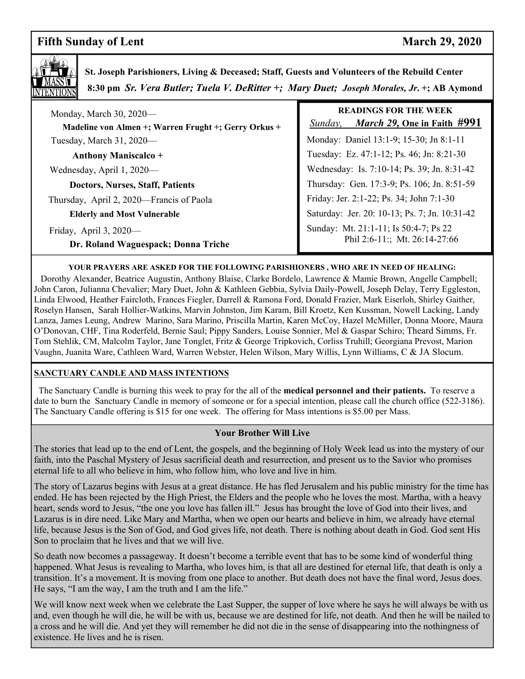# **Fifth Sunday of Lent** March 29, 2020



 **St. Joseph Parishioners, Living & Deceased; Staff, Guests and Volunteers of the Rebuild Center 8:30 pm** *Sr. Vera Butler; Tuela V. DeRitter +; Mary Duet; Joseph Morales, Jr***. +; AB Aymond**

| Monday, March 30, 2020-<br>Madeline von Almen +; Warren Frught +; Gerry Orkus + | <b>READINGS FOR THE WEEK</b><br><i>March 29, One in Faith #991</i><br>Sunday, |
|---------------------------------------------------------------------------------|-------------------------------------------------------------------------------|
| Tuesday, March $31,2020$ —                                                      | Monday: Daniel 13:1-9; 15-30; Jn 8:1-11                                       |
| <b>Anthony Maniscalco +</b>                                                     | Tuesday: Ez. 47:1-12; Ps. 46; Jn: 8:21-30                                     |
| Wednesday, April 1, 2020—                                                       | Wednesday: Is. 7:10-14; Ps. 39; Jn. 8:31-42                                   |
| <b>Doctors, Nurses, Staff, Patients</b>                                         | Thursday: Gen. 17:3-9; Ps. 106; Jn. 8:51-59                                   |
| Thursday, April 2, 2020—Francis of Paola                                        | Friday: Jer. 2:1-22; Ps. 34; John 7:1-30                                      |
| <b>Elderly and Most Vulnerable</b>                                              | Saturday: Jer. 20: 10-13; Ps. 7; Jn. 10:31-42                                 |
| Friday, April $3, 2020$ —<br>Dr. Roland Waguespack; Donna Triche                | Sunday: Mt. 21:1-11; Is 50:4-7; Ps 22<br>Phil 2:6-11:; Mt. 26:14-27:66        |

#### **YOUR PRAYERS ARE ASKED FOR THE FOLLOWING PARISHIONERS , WHO ARE IN NEED OF HEALING:**

 Dorothy Alexander, Beatrice Augustin, Anthony Blaise, Clarke Bordelo, Lawrence & Mamie Brown, Angelle Campbell; John Caron, Julianna Chevalier; Mary Duet, John & Kathleen Gebbia, Sylvia Daily-Powell, Joseph Delay, Terry Eggleston, Linda Elwood, Heather Faircloth, Frances Fiegler, Darrell & Ramona Ford, Donald Frazier, Mark Eiserloh, Shirley Gaither, Roselyn Hansen, Sarah Hollier-Watkins, Marvin Johnston, Jim Karam, Bill Kroetz, Ken Kussman, Nowell Lacking, Landy Lanza, James Leung, Andrew Marino, Sara Marino, Priscilla Martin, Karen McCoy, Hazel McMiller, Donna Moore, Maura O'Donovan, CHF, Tina Roderfeld, Bernie Saul; Pippy Sanders, Louise Sonnier, Mel & Gaspar Schiro; Theard Simms, Fr. Tom Stehlik, CM, Malcolm Taylor, Jane Tonglet, Fritz & George Tripkovich, Corliss Truhill; Georgiana Prevost, Marion Vaughn, Juanita Ware, Cathleen Ward, Warren Webster, Helen Wilson, Mary Willis, Lynn Williams, C & JA Slocum.

#### **SANCTUARY CANDLE AND MASS INTENTIONS**

 The Sanctuary Candle is burning this week to pray for the all of the **medical personnel and their patients.** To reserve a date to burn the Sanctuary Candle in memory of someone or for a special intention, please call the church office (522-3186). The Sanctuary Candle offering is \$15 for one week. The offering for Mass intentions is \$5.00 per Mass.

#### **Your Brother Will Live**

The stories that lead up to the end of Lent, the gospels, and the beginning of Holy Week lead us into the mystery of our faith, into the Paschal Mystery of Jesus sacrificial death and resurrection, and present us to the Savior who promises eternal life to all who believe in him, who follow him, who love and live in him.

The story of Lazarus begins with Jesus at a great distance. He has fled Jerusalem and his public ministry for the time has ended. He has been rejected by the High Priest, the Elders and the people who he loves the most. Martha, with a heavy heart, sends word to Jesus, "the one you love has fallen ill." Jesus has brought the love of God into their lives, and Lazarus is in dire need. Like Mary and Martha, when we open our hearts and believe in him, we already have eternal life, because Jesus is the Son of God, and God gives life, not death. There is nothing about death in God. God sent His Son to proclaim that he lives and that we will live.

So death now becomes a passageway. It doesn't become a terrible event that has to be some kind of wonderful thing happened. What Jesus is revealing to Martha, who loves him, is that all are destined for eternal life, that death is only a transition. It's a movement. It is moving from one place to another. But death does not have the final word, Jesus does. He says, "I am the way, I am the truth and I am the life."

We will know next week when we celebrate the Last Supper, the supper of love where he says he will always be with us and, even though he will die, he will be with us, because we are destined for life, not death. And then he will be nailed to a cross and he will die. And yet they will remember he did not die in the sense of disappearing into the nothingness of existence. He lives and he is risen.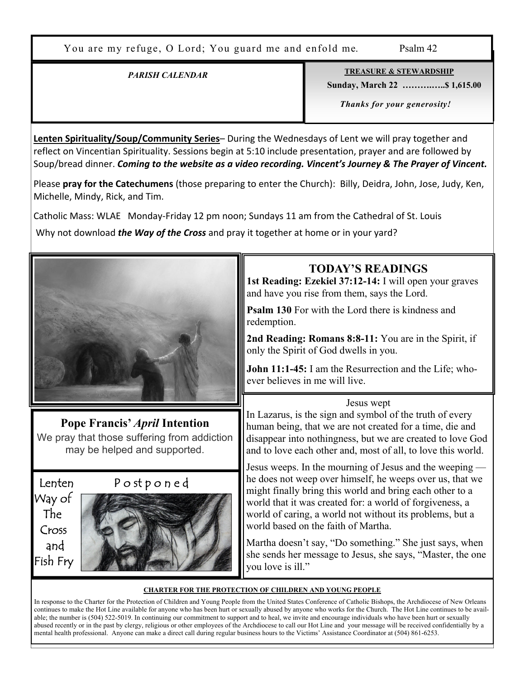You are my refuge, O Lord; You guard me and enfold me. Psalm 42

### *PARISH CALENDAR*

**TREASURE & STEWARDSHIP**

 **Sunday, March 22 ……….…..\$ 1,615.00** 

 *Thanks for your generosity!* 

**Lenten Spirituality/Soup/Community Series**– During the Wednesdays of Lent we will pray together and reflect on Vincentian Spirituality. Sessions begin at 5:10 include presentation, prayer and are followed by Soup/bread dinner. *Coming to the website as a video recording. Vincent's Journey & The Prayer of Vincent.*

Please **pray for the Catechumens** (those preparing to enter the Church): Billy, Deidra, John, Jose, Judy, Ken, Michelle, Mindy, Rick, and Tim.

Catholic Mass: WLAE Monday-Friday 12 pm noon; Sundays 11 am from the Cathedral of St. Louis

Why not download *the Way of the Cross* and pray it together at home or in your yard?



**Pope Francis'** *April* **Intention**  We pray that those suffering from addiction may be helped and supported.

Way of The Cross and Fish Fry



# **TODAY'S READINGS**

**1st Reading: Ezekiel 37:12-14:** I will open your graves and have you rise from them, says the Lord.

**Psalm 130** For with the Lord there is kindness and redemption.

**2nd Reading: Romans 8:8-11:** You are in the Spirit, if only the Spirit of God dwells in you.

**John 11:1-45:** I am the Resurrection and the Life; whoever believes in me will live.

### Jesus wept

In Lazarus, is the sign and symbol of the truth of every human being, that we are not created for a time, die and disappear into nothingness, but we are created to love God and to love each other and, most of all, to love this world.

Jesus weeps. In the mourning of Jesus and the weeping he does not weep over himself, he weeps over us, that we might finally bring this world and bring each other to a world that it was created for: a world of forgiveness, a world of caring, a world not without its problems, but a world based on the faith of Martha.

Martha doesn't say, "Do something." She just says, when she sends her message to Jesus, she says, "Master, the one you love is ill."

#### **CHARTER FOR THE PROTECTION OF CHILDREN AND YOUNG PEOPLE**

In response to the Charter for the Protection of Children and Young People from the United States Conference of Catholic Bishops, the Archdiocese of New Orleans continues to make the Hot Line available for anyone who has been hurt or sexually abused by anyone who works for the Church. The Hot Line continues to be available; the number is (504) 522-5019. In continuing our commitment to support and to heal, we invite and encourage individuals who have been hurt or sexually abused recently or in the past by clergy, religious or other employees of the Archdiocese to call our Hot Line and your message will be received confidentially by a mental health professional. Anyone can make a direct call during regular business hours to the Victims' Assistance Coordinator at (504) 861-6253.